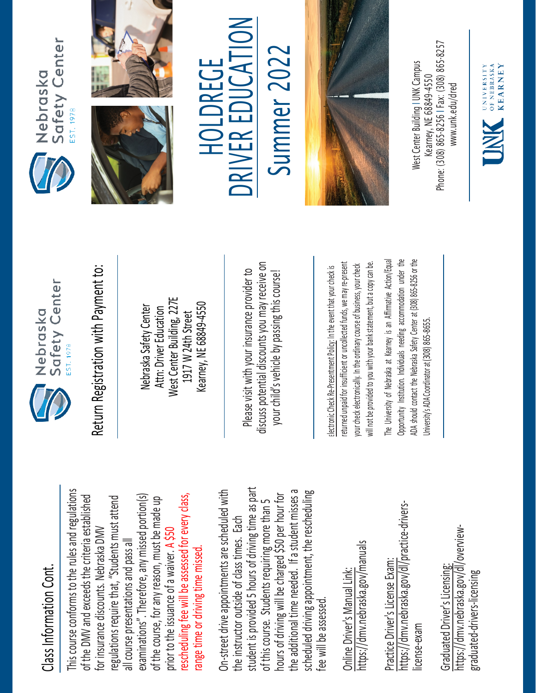## Class Information Cont. Class Information Cont.

This course conforms to the rules and regulations This course conforms to the rules and regulations rescheduling fee will be assessed for every class, examinations". Therefore, any missed portion(s) of the DMV and exceeds the criteria established regulations require that, "Students must attend rescheduling fee will be assessed for every class, of the DMV and exceeds the criteria established examinations". Therefore, any missed portion(s) of the course, for any reason, must be made up regulations require that, "Students must attend of the course, for any reason, must be made up for insurance discounts. Nebraska DMV for insurance discounts. Nebraska DMV prior to the issuance of a waiver. A \$50 all course presentations and pass all all course presentations and pass all range time or driving time missed. range time or driving time missed. prior to the issuance of a waiver.

student is provided 5 hours of driving time as part On-street drive appointments are scheduled with student is provided 5 hours of driving time as part the additional time needed. If a student misses a scheduled driving appointment, the rescheduling the additional time needed. If a student misses a On-street drive appointments are scheduled with hours of driving will be charged \$50 per hour for scheduled driving appointment, the rescheduling hours of driving will be charged \$50 per hour for of this course. Students requiring more than 5 of this course. Students requiring more than 5 the instructor outside of class times. Each the instructor outside of class times. Each fee will be assessed. fee will be assessed

https://dmv.nebraska.gov/manuals https://dmv.nebraska.gov/manuals Online Driver's Manual Link: Online Driver's Manual Link:

https://dmv.nebraska.gov/dl/practice-drivershttps://dmv.nebraska.gov/dl/practice-drivers-Practice Driver's License Exam: Practice Driver's License Exam: license-exam icense-exam

https://dmv.nebraska.gov/dl/overviewhttps://dmv.nebraska.gov/dl/overview-Graduated Driver's Licensing: Graduated Driver's Licensing: graduated-drivers-licensing graduated-drivers-licensing



Nebraska Safety Center Attn: Driver Education West Center Building, 227E 1917 W 24th Street Kearney, NE 68849-4550

Please visit with your insurance provider to discuss potential discounts you may receive on potential discounts you may receive on your child's vehicle by passing this course! Return Registration with Payment to:<br>
Nebraska Safety Center<br>
Attn: Driver Education<br>
1917 W 24th Street<br>
Rearney, NE 68849-4550<br>
Rease visit with your insurance provider to<br>
Please visit with your insurance provider to<br>
y

returned unpaid for insufficient or uncollected funds, we may re-present a copy can be. returned unpaid for insufficient or uncollected funds, we may re-present will not be provided to you with your bank statement, but a copy can be. your check electronically. In the ordinary course of business, your check your check electronically. In the ordinary course of business, your check will not be provided to you with your bank statement, but

The University of Nebraska at Kearney is an Affirmative Action/Equal The University of Nebraska at Kearney is an Affirmative Action/Equal Opportunity Institution. Individuals needing accommodation under the ADA should contact the Nebraska Safety Center at (308) 865-8256 or the Opportunity Institution. Individuals needing accommodation under the ADA should contact the Nebraska Safety Center at (308) 865-8256 or the Jniversity's ADA Coordinator at (308) 865-8655. University's ADA Coordinator at (308) 86







## $\sum_{i=1}^{n}$ HOLDREGE HOLDREGE

**NC** RIV E R EDUCA Summer 202 Summer 2022



Phone: (308) 865-8256 | Fax: (308) 865-8257 West Center Building I UNK Campus Nest Center Building I UNK Campus -8256 I Fax: (308) 865 Kearney, NE 68849-4550 www.unk.edu/dred [www.unk.edu/dred](http://www.unk.edu/dred) Kearney, NE 68849 Phone: (308) 865

UNIVERSITY<br>
OF NEBRASKA<br>
KFARNEY

**KEARNEY**